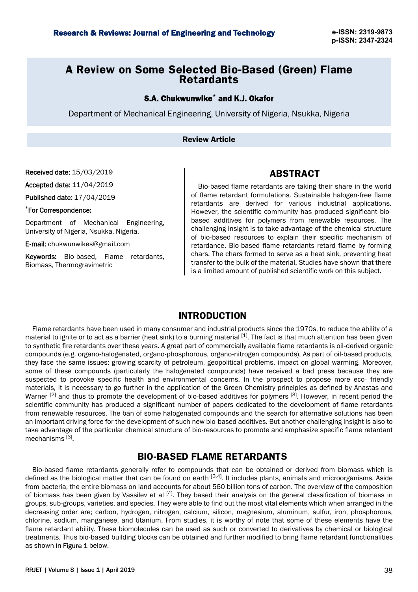# **A Review on Some Selected Bio-Based (Green) Flame Retardants**

## S.A. Chukwunwike<sup>\*</sup> and K.J. Okafor

Department of Mechanical Engineering, University of Nigeria, Nsukka, Nigeria

### Review Article

Received date: 15/03/2019

Accepted date: 11/04/2019

Published date: 17/04/2019

#### \*For Correspondence:

Department of Mechanical Engineering, University of Nigeria, Nsukka, Nigeria.

E-mail: [chukwunwikes@gmail.com](mailto:chukwunwikes@gmail.com)

Keywords: Bio-based, Flame retardants, Biomass, Thermogravimetric

Bio-based flame retardants are taking their share in the world of flame retardant formulations. Sustainable halogen-free flame retardants are derived for various industrial applications. However, the scientific community has produced significant biobased additives for polymers from renewable resources. The challenging insight is to take advantage of the chemical structure of bio-based resources to explain their specific mechanism of retardance. Bio-based flame retardants retard flame by forming chars. The chars formed to serve as a heat sink, preventing heat transfer to the bulk of the material. Studies have shown that there is a limited amount of published scientific work on this subject.

**ABSTRACT**

### **INTRODUCTION**

Flame retardants have been used in many consumer and industrial products since the 1970s, to reduce the ability of a material to ignite or to act as a barrier (heat sink) to a burning material  $[1]$ . The fact is that much attention has been given to synthetic fire retardants over these years. A great part of commercially available flame retardants is oil-derived organic compounds (e.g. organo-halogenated, organo-phosphorous, organo-nitrogen compounds). As part of oil-based products, they face the same issues: growing scarcity of petroleum, geopolitical problems, impact on global warming. Moreover, some of these compounds (particularly the halogenated compounds) have received a bad press because they are suspected to provoke specific health and environmental concerns. In the prospect to propose more eco- friendly materials, it is necessary to go further in the application of the Green Chemistry principles as defined by Anastas and Warner  $[2]$  and thus to promote the development of bio-based additives for polymers  $[3]$ . However, in recent period the scientific community has produced a significant number of papers dedicated to the development of flame retardants from renewable resources. The ban of some halogenated compounds and the search for alternative solutions has been an important driving force for the development of such new bio-based additives. But another challenging insight is also to take advantage of the particular chemical structure of bio-resources to promote and emphasize specific flame retardant mechanisms<sup>[3]</sup>.

## **BIO-BASED FLAME RETARDANTS**

Bio-based flame retardants generally refer to compounds that can be obtained or derived from biomass which is defined as the biological matter that can be found on earth [3,4]. It includes plants, animals and microorganisms. Aside from bacteria, the entire biomass on land accounts for about 560 billion tons of carbon. The overview of the composition of biomass has been given by Vassilev et al  $[4]$ . They based their analysis on the general classification of biomass in groups, sub-groups, varieties, and species. They were able to find out the most vital elements which when arranged in the decreasing order are; carbon, hydrogen, nitrogen, calcium, silicon, magnesium, aluminum, sulfur, iron, phosphorous, chlorine, sodium, manganese, and titanium. From studies, it is worthy of note that some of these elements have the flame retardant ability. These biomolecules can be used as such or converted to derivatives by chemical or biological treatments. Thus bio-based building blocks can be obtained and further modified to bring flame retardant functionalities as shown in Figure 1 below.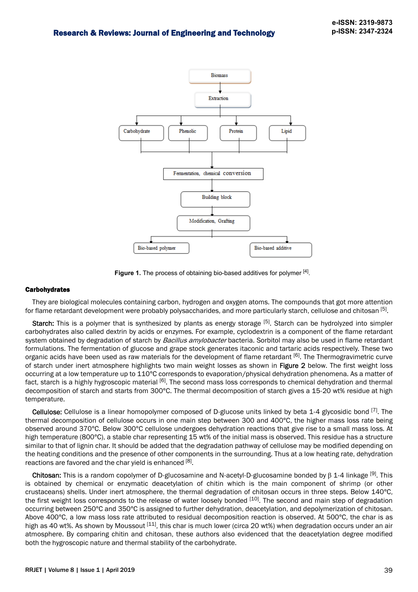

Figure 1. The process of obtaining bio-based additives for polymer [4].

#### **Carbohydrates**

They are biological molecules containing carbon, hydrogen and oxygen atoms. The compounds that got more attention for flame retardant development were probably polysaccharides, and more particularly starch, cellulose and chitosan <sup>[5]</sup>.

Starch: This is a polymer that is synthesized by plants as energy storage <sup>[5]</sup>. Starch can be hydrolyzed into simpler carbohydrates also called dextrin by acids or enzymes. For example, cyclodextrin is a component of the flame retardant system obtained by degradation of starch by Bacillus amylobacter bacteria. Sorbitol may also be used in flame retardant formulations. The fermentation of glucose and grape stock generates itaconic and tartaric acids respectively. These two organic acids have been used as raw materials for the development of flame retardant [6]. The Thermogravimetric curve of starch under inert atmosphere highlights two main weight losses as shown in Figure 2 below. The first weight loss occurring at a low temperature up to 110°C corresponds to evaporation/physical dehydration phenomena. As a matter of fact, starch is a highly hygroscopic material <sup>[6]</sup>. The second mass loss corresponds to chemical dehydration and thermal decomposition of starch and starts from 300°C. The thermal decomposition of starch gives a 15-20 wt% residue at high temperature.

Cellulose: Cellulose is a linear homopolymer composed of D-glucose units linked by beta 1-4 glycosidic bond <sup>[7]</sup>. The thermal decomposition of cellulose occurs in one main step between 300 and 400°C, the higher mass loss rate being observed around 370°C. Below 300°C cellulose undergoes dehydration reactions that give rise to a small mass loss. At high temperature (800°C), a stable char representing 15 wt% of the initial mass is observed. This residue has a structure similar to that of lignin char. It should be added that the degradation pathway of cellulose may be modified depending on the heating conditions and the presence of other components in the surrounding. Thus at a low heating rate, dehydration reactions are favored and the char yield is enhanced [8].

**Chitosan:** This is a random copolymer of D-glucosamine and N-acetyl-D-glucosamine bonded by β 1-4 linkage [9]. This is obtained by chemical or enzymatic deacetylation of chitin which is the main component of shrimp (or other crustaceans) shells. Under inert atmosphere, the thermal degradation of chitosan occurs in three steps. Below 140°C, the first weight loss corresponds to the release of water loosely bonded [10]. The second and main step of degradation occurring between 250°C and 350°C is assigned to further dehydration, deacetylation, and depolymerization of chitosan. Above 400°C, a low mass loss rate attributed to residual decomposition reaction is observed. At 500°C, the char is as high as 40 wt%. As shown by Moussout  $[11]$ , this char is much lower (circa 20 wt%) when degradation occurs under an air atmosphere. By comparing chitin and chitosan, these authors also evidenced that the deacetylation degree modified both the hygroscopic nature and thermal stability of the carbohydrate.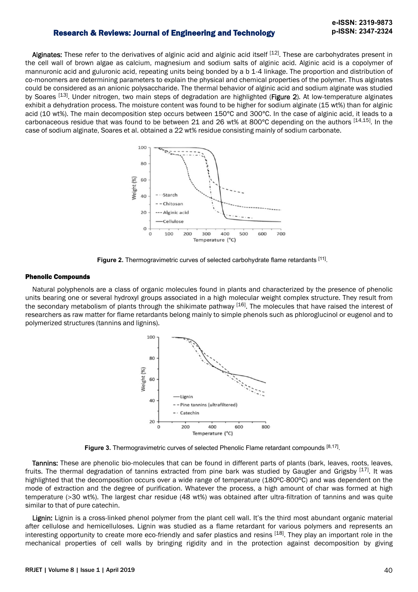## Research & Reviews: Journal of Engineering and Technology **p-ISSN: 2347-2324**

Alginates: These refer to the derivatives of alginic acid and alginic acid itself [12]. These are carbohydrates present in the cell wall of brown algae as calcium, magnesium and sodium salts of alginic acid. Alginic acid is a copolymer of mannuronic acid and guluronic acid, repeating units being bonded by a b 1-4 linkage. The proportion and distribution of co-monomers are determining parameters to explain the physical and chemical properties of the polymer. Thus alginates could be considered as an anionic polysaccharide. The thermal behavior of alginic acid and sodium alginate was studied by Soares <sup>[13]</sup>. Under nitrogen, two main steps of degradation are highlighted (Figure 2). At low-temperature alginates exhibit a dehydration process. The moisture content was found to be higher for sodium alginate (15 wt%) than for alginic acid (10 wt%). The main decomposition step occurs between 150°C and 300°C. In the case of alginic acid, it leads to a carbonaceous residue that was found to be between 21 and 26 wt% at 800°C depending on the authors [14,15]. In the case of sodium alginate, Soares et al. obtained a 22 wt% residue consisting mainly of sodium carbonate.



Figure 2. Thermogravimetric curves of selected carbohydrate flame retardants [11].

#### Phenolic Compounds

Natural polyphenols are a class of organic molecules found in plants and characterized by the presence of phenolic units bearing one or several hydroxyl groups associated in a high molecular weight complex structure. They result from the secondary metabolism of plants through the shikimate pathway [16]. The molecules that have raised the interest of researchers as raw matter for flame retardants belong mainly to simple phenols such as phloroglucinol or eugenol and to polymerized structures (tannins and lignins).



Figure 3. Thermogravimetric curves of selected Phenolic Flame retardant compounds [8,17].

Tannins: These are phenolic bio-molecules that can be found in different parts of plants (bark, leaves, roots, leaves, fruits. The thermal degradation of tannins extracted from pine bark was studied by Gaugler and Grigsby [17]. It was highlighted that the decomposition occurs over a wide range of temperature (180°C-800°C) and was dependent on the mode of extraction and the degree of purification. Whatever the process, a high amount of char was formed at high temperature (>30 wt%). The largest char residue (48 wt%) was obtained after ultra-filtration of tannins and was quite similar to that of pure catechin.

Lignin: Lignin is a cross-linked phenol polymer from the plant cell wall. It's the third most abundant organic material after cellulose and hemicelluloses. Lignin was studied as a flame retardant for various polymers and represents an interesting opportunity to create more eco-friendly and safer plastics and resins [18]. They play an important role in the mechanical properties of cell walls by bringing rigidity and in the protection against decomposition by giving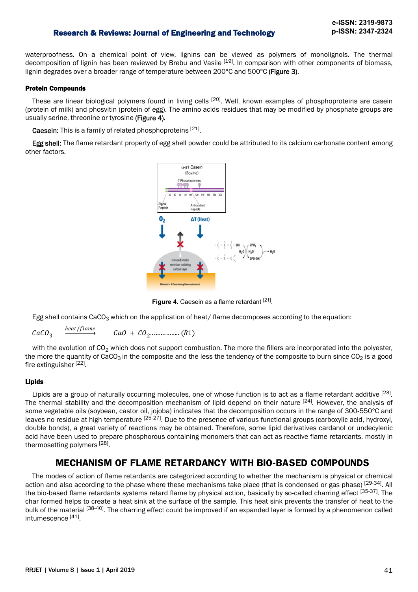### Research & Reviews: Journal of Engineering and Technology **p-ISSN: 2347-2324**

waterproofness. On a chemical point of view, lignins can be viewed as polymers of monolignols. The thermal decomposition of lignin has been reviewed by Brebu and Vasile <sup>[19]</sup>. In comparison with other components of biomass, lignin degrades over a broader range of temperature between 200°C and 500°C (Figure 3).

#### Protein Compounds

These are linear biological polymers found in living cells <sup>[20]</sup>. Well, known examples of phosphoproteins are casein (protein of milk) and phosvitin (protein of egg). The amino acids residues that may be modified by phosphate groups are usually serine, threonine or tyrosine (Figure 4).

Caesein: This is a family of related phosphoproteins [21].

Egg shell: The flame retardant property of egg shell powder could be attributed to its calcium carbonate content among other factors.



Figure 4. Caesein as a flame retardant [21].

Egg shell contains CaCO<sub>3</sub> which on the application of heat/ flame decomposes according to the equation:

 $CaCO<sub>3</sub>$ heat/flame ܴ1 .. ...............ܱ2ܥ + ܱܽ ܥ

with the evolution of  $CO<sub>2</sub>$  which does not support combustion. The more the fillers are incorporated into the polyester, the more the quantity of CaCO<sub>3</sub> in the composite and the less the tendency of the composite to burn since  $CO_2$  is a good fire extinguisher [22].

#### Lipids

Lipids are a group of naturally occurring molecules, one of whose function is to act as a flame retardant additive <sup>[23]</sup>. The thermal stability and the decomposition mechanism of lipid depend on their nature <sup>[24]</sup>. However, the analysis of some vegetable oils (soybean, castor oil, jojoba) indicates that the decomposition occurs in the range of 300-550°C and leaves no residue at high temperature [25-27]. Due to the presence of various functional groups (carboxylic acid, hydroxyl, double bonds), a great variety of reactions may be obtained. Therefore, some lipid derivatives cardanol or undecylenic acid have been used to prepare phosphorous containing monomers that can act as reactive flame retardants, mostly in thermosetting polymers [28].

## **MECHANISM OF FLAME RETARDANCY WITH BIO-BASED COMPOUNDS**

The modes of action of flame retardants are categorized according to whether the mechanism is physical or chemical action and also according to the phase where these mechanisms take place (that is condensed or gas phase) [29-34]. All the bio-based flame retardants systems retard flame by physical action, basically by so-called charring effect [35-37]. The char formed helps to create a heat sink at the surface of the sample. This heat sink prevents the transfer of heat to the bulk of the material [38-40]. The charring effect could be improved if an expanded layer is formed by a phenomenon called intumescence<sup>[41]</sup>.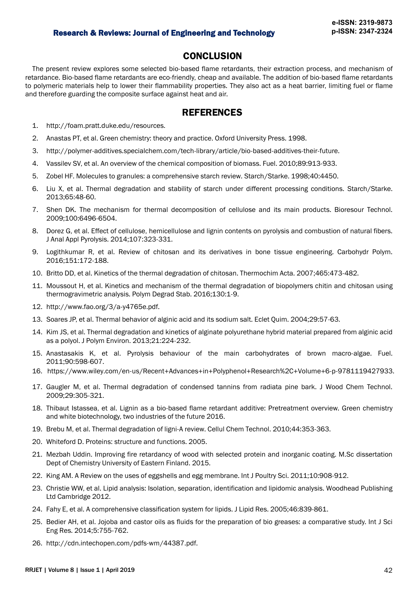## **CONCLUSION**

The present review explores some selected bio-based flame retardants, their extraction process, and mechanism of retardance. Bio-based flame retardants are eco-friendly, cheap and available. The addition of bio-based flame retardants to polymeric materials help to lower their flammability properties. They also act as a heat barrier, limiting fuel or flame and therefore guarding the composite surface against heat and air.

## **REFERENCES**

- 1.<http://foam.pratt.duke.edu/resources>.
- 2. Anastas PT, et al. Green chemistry: theory and practice. Oxford University Press. 1998.
- 3. http://polymer-additives.specialchem.com/tech-library/article/bio-based-additives-their-future.
- 4. Vassilev SV, et al. An overview of the chemical composition of biomass. Fuel. 2010;89:913-933.
- 5. Zobel HF. Molecules to granules: a comprehensive starch review. Starch/Starke. 1998;40:4450.
- 6. Liu X, et al. Thermal degradation and stability of starch under different processing conditions. Starch/Starke. 2013;65:48-60.
- 7. Shen DK. The mechanism for thermal decomposition of cellulose and its main products. Bioresour Technol. 2009;100:6496-6504.
- 8. Dorez G, et al. Effect of cellulose, hemicellulose and lignin contents on pyrolysis and combustion of natural fibers. J Anal Appl Pyrolysis. 2014;107:323-331.
- 9. Logithkumar R, et al. Review of chitosan and its derivatives in bone tissue engineering. Carbohydr Polym. 2016;151:172-188.
- 10. Britto DD, et al. Kinetics of the thermal degradation of chitosan. Thermochim Acta. 2007;465:473-482.
- 11. Moussout H, et al. Kinetics and mechanism of the thermal degradation of biopolymers chitin and chitosan using thermogravimetric analysis. Polym Degrad Stab. 2016;130:1-9.
- 12. http://www.fao.org/3/a-y4765e.pdf.
- 13. Soares JP, et al. Thermal behavior of alginic acid and its sodium salt. Eclet Quim. 2004;29:57-63.
- 14. Kim JS, et al. Thermal degradation and kinetics of alginate polyurethane hybrid material prepared from alginic acid as a polyol. J Polym Environ. 2013;21:224-232.
- 15. Anastasakis K, et al. Pyrolysis behaviour of the main carbohydrates of brown macro-algae. Fuel. 2011;90:598-607.
- 16. https://www.wiley.com/en-us/Recent+Advances+in+Polyphenol+Research%2C+Volume+6-p-9781119427933.
- 17. Gaugler M, et al. Thermal degradation of condensed tannins from radiata pine bark. J Wood Chem Technol. 2009;29:305-321.
- 18. Thibaut Istassea, et al. Lignin as a bio-based flame retardant additive: Pretreatment overview. Green chemistry and white biotechnology, two industries of the future 2016.
- 19. Brebu M, et al. Thermal degradation of ligni-A review. Cellul Chem Technol. 2010;44:353-363.
- 20. Whiteford D. Proteins: structure and functions. 2005.
- 21. Mezbah Uddin. Improving fire retardancy of wood with selected protein and inorganic coating. M.Sc dissertation Dept of Chemistry University of Eastern Finland. 2015.
- 22. King AM. A Review on the uses of eggshells and egg membrane. Int J Poultry Sci. 2011;10:908-912.
- 23. Christie WW, et al. Lipid analysis: Isolation, separation, identification and lipidomic analysis. Woodhead Publishing Ltd Cambridge 2012.
- 24. Fahy E, et al. A comprehensive classification system for lipids. J Lipid Res. 2005;46:839-861.
- 25. Bedier AH, et al. Jojoba and castor oils as fluids for the preparation of bio greases: a comparative study. Int J Sci Eng Res. 2014;5:755-762.
- 26. http://cdn.intechopen.com/pdfs-wm/44387.pdf.